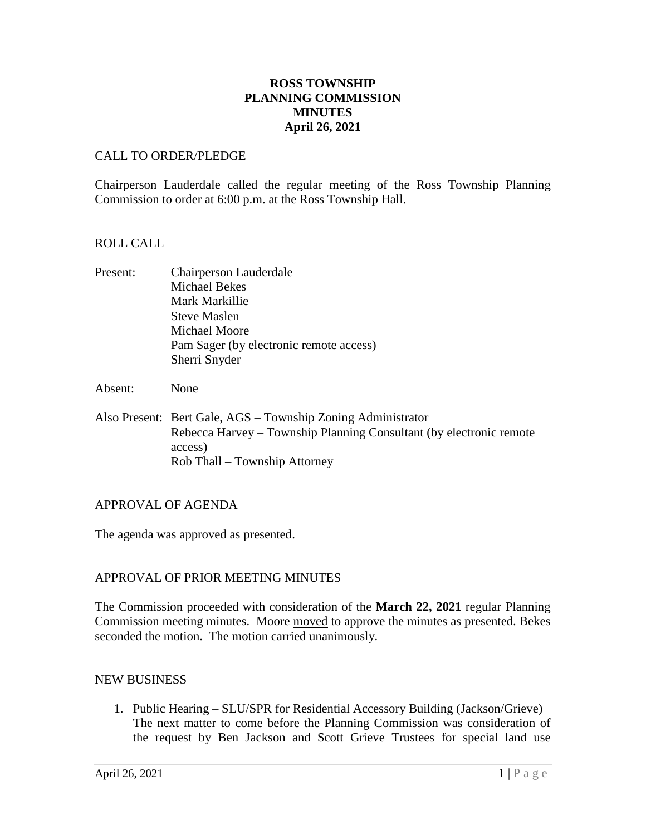# **ROSS TOWNSHIP PLANNING COMMISSION MINUTES April 26, 2021**

#### CALL TO ORDER/PLEDGE

Chairperson Lauderdale called the regular meeting of the Ross Township Planning Commission to order at 6:00 p.m. at the Ross Township Hall.

### ROLL CALL

Present: Chairperson Lauderdale Michael Bekes Mark Markillie Steve Maslen Michael Moore Pam Sager (by electronic remote access) Sherri Snyder

Absent: None

Also Present: Bert Gale, AGS – Township Zoning Administrator Rebecca Harvey – Township Planning Consultant (by electronic remote access) Rob Thall – Township Attorney

## APPROVAL OF AGENDA

The agenda was approved as presented.

## APPROVAL OF PRIOR MEETING MINUTES

The Commission proceeded with consideration of the **March 22, 2021** regular Planning Commission meeting minutes. Moore moved to approve the minutes as presented. Bekes seconded the motion. The motion carried unanimously.

#### NEW BUSINESS

1. Public Hearing – SLU/SPR for Residential Accessory Building (Jackson/Grieve) The next matter to come before the Planning Commission was consideration of the request by Ben Jackson and Scott Grieve Trustees for special land use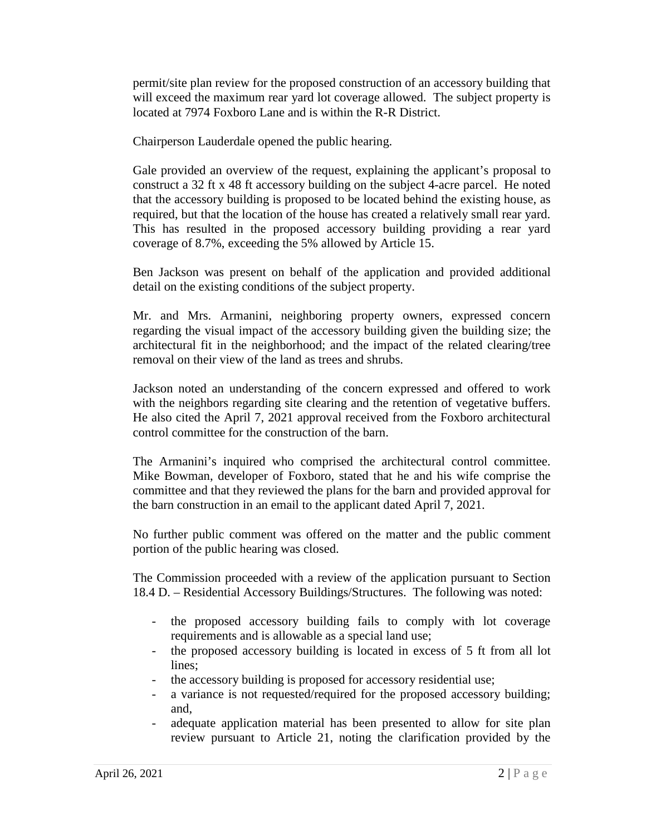permit/site plan review for the proposed construction of an accessory building that will exceed the maximum rear yard lot coverage allowed. The subject property is located at 7974 Foxboro Lane and is within the R-R District.

Chairperson Lauderdale opened the public hearing.

Gale provided an overview of the request, explaining the applicant's proposal to construct a 32 ft x 48 ft accessory building on the subject 4-acre parcel. He noted that the accessory building is proposed to be located behind the existing house, as required, but that the location of the house has created a relatively small rear yard. This has resulted in the proposed accessory building providing a rear yard coverage of 8.7%, exceeding the 5% allowed by Article 15.

Ben Jackson was present on behalf of the application and provided additional detail on the existing conditions of the subject property.

Mr. and Mrs. Armanini, neighboring property owners, expressed concern regarding the visual impact of the accessory building given the building size; the architectural fit in the neighborhood; and the impact of the related clearing/tree removal on their view of the land as trees and shrubs.

Jackson noted an understanding of the concern expressed and offered to work with the neighbors regarding site clearing and the retention of vegetative buffers. He also cited the April 7, 2021 approval received from the Foxboro architectural control committee for the construction of the barn.

The Armanini's inquired who comprised the architectural control committee. Mike Bowman, developer of Foxboro, stated that he and his wife comprise the committee and that they reviewed the plans for the barn and provided approval for the barn construction in an email to the applicant dated April 7, 2021.

No further public comment was offered on the matter and the public comment portion of the public hearing was closed.

The Commission proceeded with a review of the application pursuant to Section 18.4 D. – Residential Accessory Buildings/Structures. The following was noted:

- the proposed accessory building fails to comply with lot coverage requirements and is allowable as a special land use;
- the proposed accessory building is located in excess of 5 ft from all lot lines:
- the accessory building is proposed for accessory residential use;
- a variance is not requested/required for the proposed accessory building; and,
- adequate application material has been presented to allow for site plan review pursuant to Article 21, noting the clarification provided by the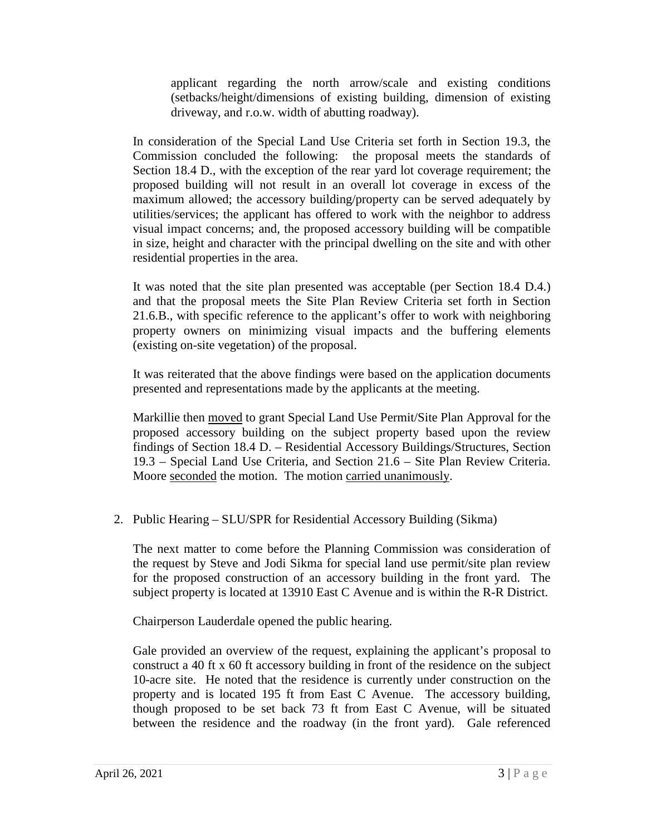applicant regarding the north arrow/scale and existing conditions (setbacks/height/dimensions of existing building, dimension of existing driveway, and r.o.w. width of abutting roadway).

In consideration of the Special Land Use Criteria set forth in Section 19.3, the Commission concluded the following: the proposal meets the standards of Section 18.4 D., with the exception of the rear yard lot coverage requirement; the proposed building will not result in an overall lot coverage in excess of the maximum allowed; the accessory building/property can be served adequately by utilities/services; the applicant has offered to work with the neighbor to address visual impact concerns; and, the proposed accessory building will be compatible in size, height and character with the principal dwelling on the site and with other residential properties in the area.

It was noted that the site plan presented was acceptable (per Section 18.4 D.4.) and that the proposal meets the Site Plan Review Criteria set forth in Section 21.6.B., with specific reference to the applicant's offer to work with neighboring property owners on minimizing visual impacts and the buffering elements (existing on-site vegetation) of the proposal.

It was reiterated that the above findings were based on the application documents presented and representations made by the applicants at the meeting.

Markillie then moved to grant Special Land Use Permit/Site Plan Approval for the proposed accessory building on the subject property based upon the review findings of Section 18.4 D. – Residential Accessory Buildings/Structures, Section 19.3 – Special Land Use Criteria, and Section 21.6 – Site Plan Review Criteria. Moore seconded the motion. The motion carried unanimously.

2. Public Hearing – SLU/SPR for Residential Accessory Building (Sikma)

The next matter to come before the Planning Commission was consideration of the request by Steve and Jodi Sikma for special land use permit/site plan review for the proposed construction of an accessory building in the front yard. The subject property is located at 13910 East C Avenue and is within the R-R District.

Chairperson Lauderdale opened the public hearing.

Gale provided an overview of the request, explaining the applicant's proposal to construct a 40 ft x 60 ft accessory building in front of the residence on the subject 10-acre site. He noted that the residence is currently under construction on the property and is located 195 ft from East C Avenue. The accessory building, though proposed to be set back 73 ft from East C Avenue, will be situated between the residence and the roadway (in the front yard). Gale referenced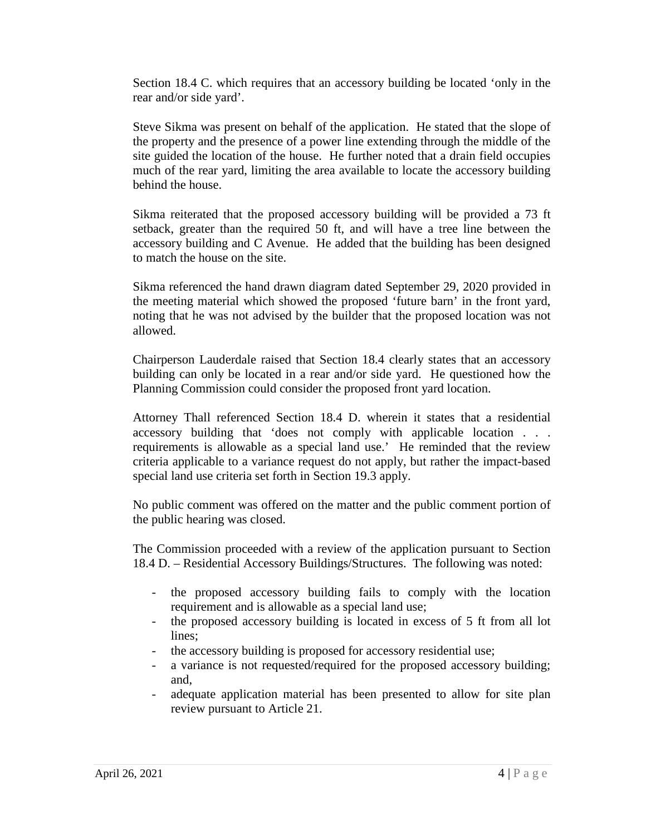Section 18.4 C. which requires that an accessory building be located 'only in the rear and/or side yard'.

Steve Sikma was present on behalf of the application. He stated that the slope of the property and the presence of a power line extending through the middle of the site guided the location of the house. He further noted that a drain field occupies much of the rear yard, limiting the area available to locate the accessory building behind the house.

Sikma reiterated that the proposed accessory building will be provided a 73 ft setback, greater than the required 50 ft, and will have a tree line between the accessory building and C Avenue. He added that the building has been designed to match the house on the site.

Sikma referenced the hand drawn diagram dated September 29, 2020 provided in the meeting material which showed the proposed 'future barn' in the front yard, noting that he was not advised by the builder that the proposed location was not allowed.

Chairperson Lauderdale raised that Section 18.4 clearly states that an accessory building can only be located in a rear and/or side yard. He questioned how the Planning Commission could consider the proposed front yard location.

Attorney Thall referenced Section 18.4 D. wherein it states that a residential accessory building that 'does not comply with applicable location . . . requirements is allowable as a special land use.' He reminded that the review criteria applicable to a variance request do not apply, but rather the impact-based special land use criteria set forth in Section 19.3 apply.

No public comment was offered on the matter and the public comment portion of the public hearing was closed.

The Commission proceeded with a review of the application pursuant to Section 18.4 D. – Residential Accessory Buildings/Structures. The following was noted:

- the proposed accessory building fails to comply with the location requirement and is allowable as a special land use;
- the proposed accessory building is located in excess of 5 ft from all lot lines;
- the accessory building is proposed for accessory residential use;
- a variance is not requested/required for the proposed accessory building; and,
- adequate application material has been presented to allow for site plan review pursuant to Article 21.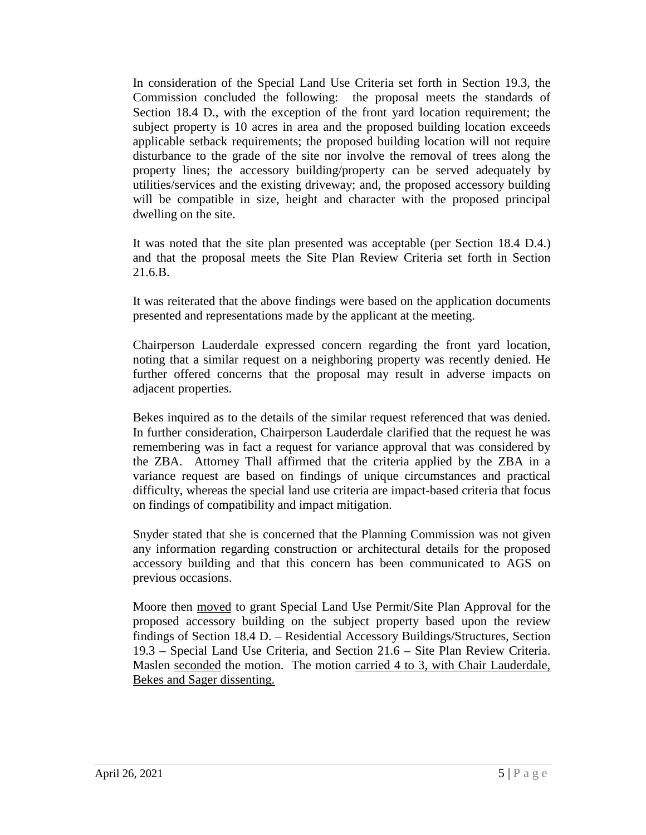In consideration of the Special Land Use Criteria set forth in Section 19.3, the Commission concluded the following: the proposal meets the standards of Section 18.4 D., with the exception of the front yard location requirement; the subject property is 10 acres in area and the proposed building location exceeds applicable setback requirements; the proposed building location will not require disturbance to the grade of the site nor involve the removal of trees along the property lines; the accessory building/property can be served adequately by utilities/services and the existing driveway; and, the proposed accessory building will be compatible in size, height and character with the proposed principal dwelling on the site.

It was noted that the site plan presented was acceptable (per Section 18.4 D.4.) and that the proposal meets the Site Plan Review Criteria set forth in Section 21.6.B.

It was reiterated that the above findings were based on the application documents presented and representations made by the applicant at the meeting.

Chairperson Lauderdale expressed concern regarding the front yard location, noting that a similar request on a neighboring property was recently denied. He further offered concerns that the proposal may result in adverse impacts on adjacent properties.

Bekes inquired as to the details of the similar request referenced that was denied. In further consideration, Chairperson Lauderdale clarified that the request he was remembering was in fact a request for variance approval that was considered by the ZBA. Attorney Thall affirmed that the criteria applied by the ZBA in a variance request are based on findings of unique circumstances and practical difficulty, whereas the special land use criteria are impact-based criteria that focus on findings of compatibility and impact mitigation.

Snyder stated that she is concerned that the Planning Commission was not given any information regarding construction or architectural details for the proposed accessory building and that this concern has been communicated to AGS on previous occasions.

Moore then moved to grant Special Land Use Permit/Site Plan Approval for the proposed accessory building on the subject property based upon the review findings of Section 18.4 D. – Residential Accessory Buildings/Structures, Section 19.3 – Special Land Use Criteria, and Section 21.6 – Site Plan Review Criteria. Maslen seconded the motion. The motion carried 4 to 3, with Chair Lauderdale, Bekes and Sager dissenting.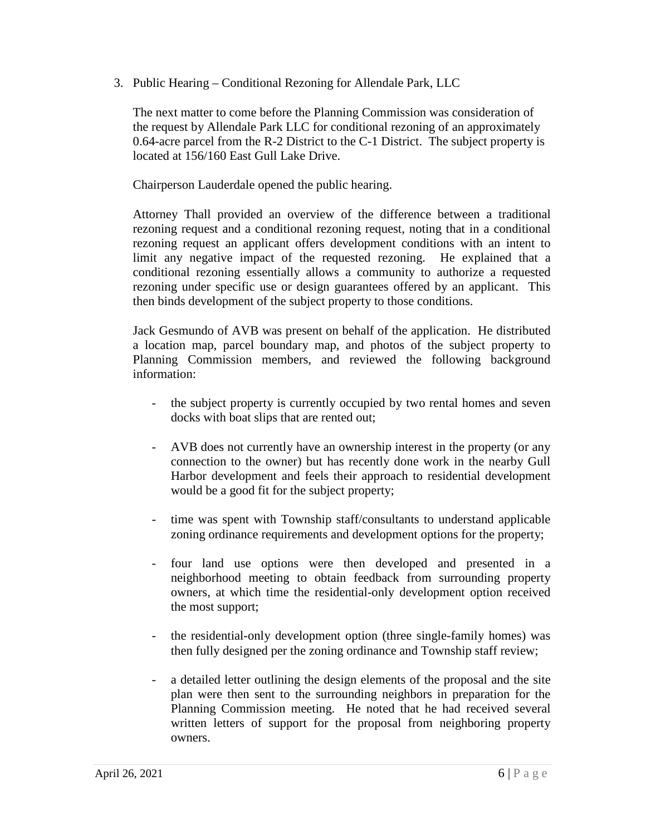3. Public Hearing – Conditional Rezoning for Allendale Park, LLC

The next matter to come before the Planning Commission was consideration of the request by Allendale Park LLC for conditional rezoning of an approximately 0.64-acre parcel from the R-2 District to the C-1 District. The subject property is located at 156/160 East Gull Lake Drive.

Chairperson Lauderdale opened the public hearing.

Attorney Thall provided an overview of the difference between a traditional rezoning request and a conditional rezoning request, noting that in a conditional rezoning request an applicant offers development conditions with an intent to limit any negative impact of the requested rezoning. He explained that a conditional rezoning essentially allows a community to authorize a requested rezoning under specific use or design guarantees offered by an applicant. This then binds development of the subject property to those conditions.

Jack Gesmundo of AVB was present on behalf of the application. He distributed a location map, parcel boundary map, and photos of the subject property to Planning Commission members, and reviewed the following background information:

- the subject property is currently occupied by two rental homes and seven docks with boat slips that are rented out;
- AVB does not currently have an ownership interest in the property (or any connection to the owner) but has recently done work in the nearby Gull Harbor development and feels their approach to residential development would be a good fit for the subject property;
- time was spent with Township staff/consultants to understand applicable zoning ordinance requirements and development options for the property;
- four land use options were then developed and presented in a neighborhood meeting to obtain feedback from surrounding property owners, at which time the residential-only development option received the most support;
- the residential-only development option (three single-family homes) was then fully designed per the zoning ordinance and Township staff review;
- a detailed letter outlining the design elements of the proposal and the site plan were then sent to the surrounding neighbors in preparation for the Planning Commission meeting. He noted that he had received several written letters of support for the proposal from neighboring property owners.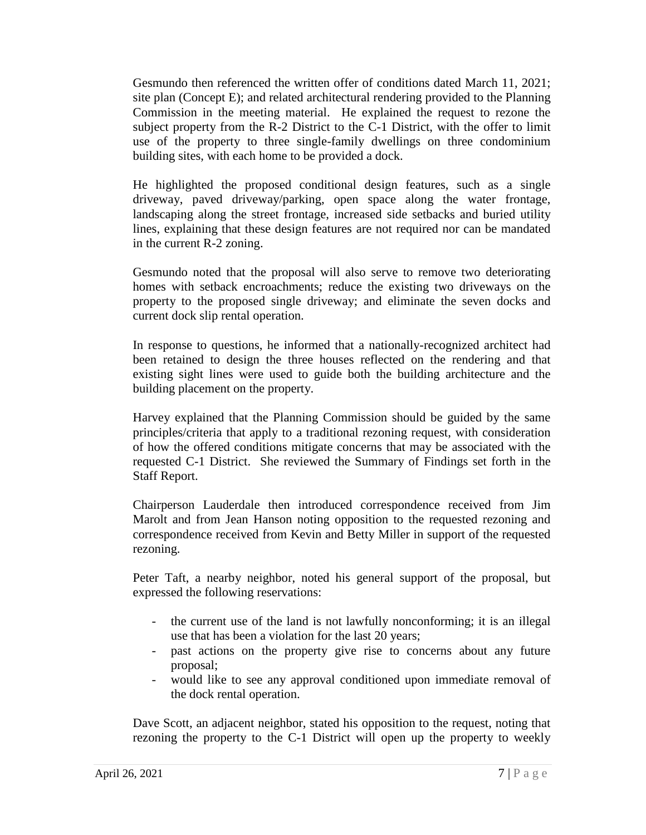Gesmundo then referenced the written offer of conditions dated March 11, 2021; site plan (Concept E); and related architectural rendering provided to the Planning Commission in the meeting material. He explained the request to rezone the subject property from the R-2 District to the C-1 District, with the offer to limit use of the property to three single-family dwellings on three condominium building sites, with each home to be provided a dock.

He highlighted the proposed conditional design features, such as a single driveway, paved driveway/parking, open space along the water frontage, landscaping along the street frontage, increased side setbacks and buried utility lines, explaining that these design features are not required nor can be mandated in the current R-2 zoning.

Gesmundo noted that the proposal will also serve to remove two deteriorating homes with setback encroachments; reduce the existing two driveways on the property to the proposed single driveway; and eliminate the seven docks and current dock slip rental operation.

In response to questions, he informed that a nationally-recognized architect had been retained to design the three houses reflected on the rendering and that existing sight lines were used to guide both the building architecture and the building placement on the property.

Harvey explained that the Planning Commission should be guided by the same principles/criteria that apply to a traditional rezoning request, with consideration of how the offered conditions mitigate concerns that may be associated with the requested C-1 District. She reviewed the Summary of Findings set forth in the Staff Report.

Chairperson Lauderdale then introduced correspondence received from Jim Marolt and from Jean Hanson noting opposition to the requested rezoning and correspondence received from Kevin and Betty Miller in support of the requested rezoning.

Peter Taft, a nearby neighbor, noted his general support of the proposal, but expressed the following reservations:

- the current use of the land is not lawfully nonconforming; it is an illegal use that has been a violation for the last 20 years;
- past actions on the property give rise to concerns about any future proposal;
- would like to see any approval conditioned upon immediate removal of the dock rental operation.

Dave Scott, an adjacent neighbor, stated his opposition to the request, noting that rezoning the property to the C-1 District will open up the property to weekly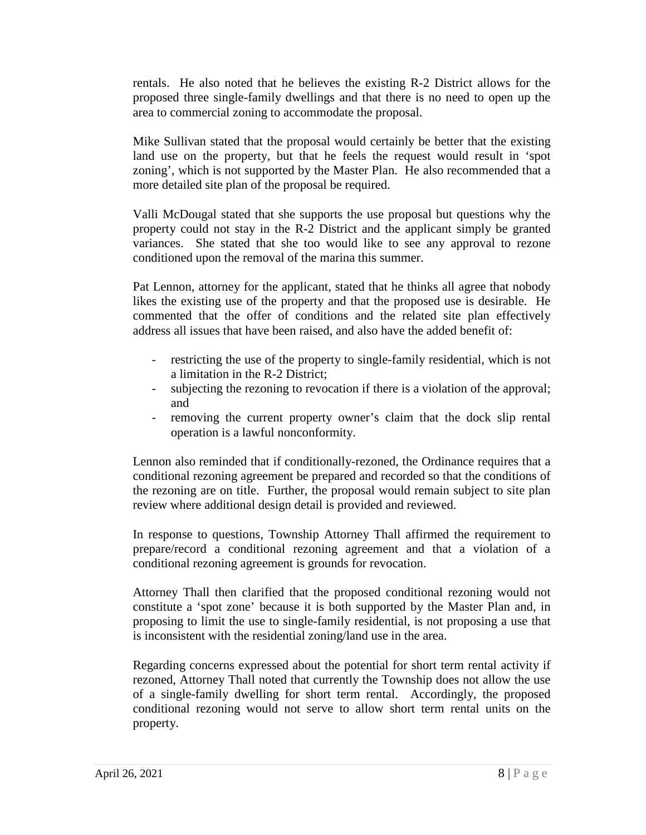rentals. He also noted that he believes the existing R-2 District allows for the proposed three single-family dwellings and that there is no need to open up the area to commercial zoning to accommodate the proposal.

Mike Sullivan stated that the proposal would certainly be better that the existing land use on the property, but that he feels the request would result in 'spot zoning', which is not supported by the Master Plan. He also recommended that a more detailed site plan of the proposal be required.

Valli McDougal stated that she supports the use proposal but questions why the property could not stay in the R-2 District and the applicant simply be granted variances. She stated that she too would like to see any approval to rezone conditioned upon the removal of the marina this summer.

Pat Lennon, attorney for the applicant, stated that he thinks all agree that nobody likes the existing use of the property and that the proposed use is desirable. He commented that the offer of conditions and the related site plan effectively address all issues that have been raised, and also have the added benefit of:

- restricting the use of the property to single-family residential, which is not a limitation in the R-2 District;
- subjecting the rezoning to revocation if there is a violation of the approval; and
- removing the current property owner's claim that the dock slip rental operation is a lawful nonconformity.

Lennon also reminded that if conditionally-rezoned, the Ordinance requires that a conditional rezoning agreement be prepared and recorded so that the conditions of the rezoning are on title. Further, the proposal would remain subject to site plan review where additional design detail is provided and reviewed.

In response to questions, Township Attorney Thall affirmed the requirement to prepare/record a conditional rezoning agreement and that a violation of a conditional rezoning agreement is grounds for revocation.

Attorney Thall then clarified that the proposed conditional rezoning would not constitute a 'spot zone' because it is both supported by the Master Plan and, in proposing to limit the use to single-family residential, is not proposing a use that is inconsistent with the residential zoning/land use in the area.

Regarding concerns expressed about the potential for short term rental activity if rezoned, Attorney Thall noted that currently the Township does not allow the use of a single-family dwelling for short term rental. Accordingly, the proposed conditional rezoning would not serve to allow short term rental units on the property.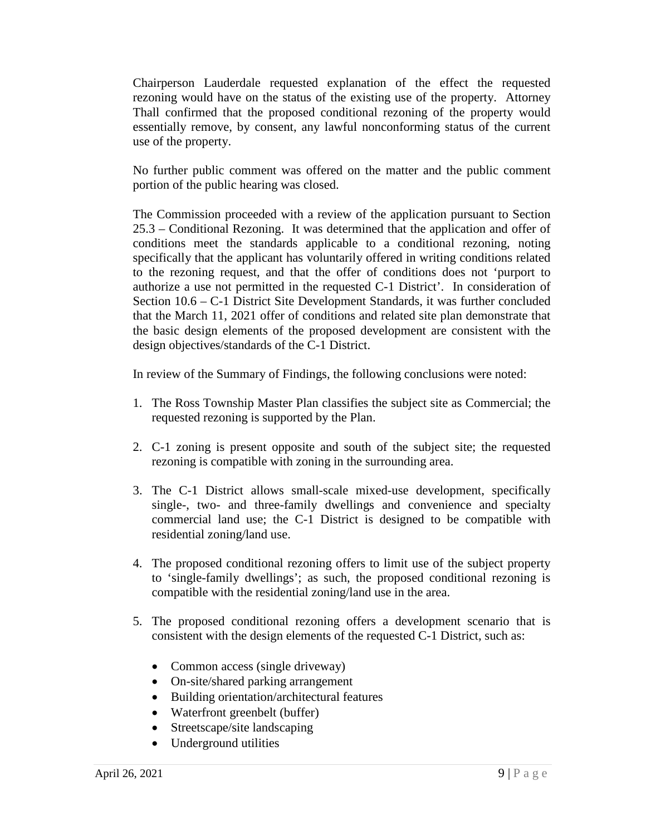Chairperson Lauderdale requested explanation of the effect the requested rezoning would have on the status of the existing use of the property. Attorney Thall confirmed that the proposed conditional rezoning of the property would essentially remove, by consent, any lawful nonconforming status of the current use of the property.

No further public comment was offered on the matter and the public comment portion of the public hearing was closed.

The Commission proceeded with a review of the application pursuant to Section 25.3 – Conditional Rezoning. It was determined that the application and offer of conditions meet the standards applicable to a conditional rezoning, noting specifically that the applicant has voluntarily offered in writing conditions related to the rezoning request, and that the offer of conditions does not 'purport to authorize a use not permitted in the requested C-1 District'. In consideration of Section 10.6 – C-1 District Site Development Standards, it was further concluded that the March 11, 2021 offer of conditions and related site plan demonstrate that the basic design elements of the proposed development are consistent with the design objectives/standards of the C-1 District.

In review of the Summary of Findings, the following conclusions were noted:

- 1. The Ross Township Master Plan classifies the subject site as Commercial; the requested rezoning is supported by the Plan.
- 2. C-1 zoning is present opposite and south of the subject site; the requested rezoning is compatible with zoning in the surrounding area.
- 3. The C-1 District allows small-scale mixed-use development, specifically single-, two- and three-family dwellings and convenience and specialty commercial land use; the C-1 District is designed to be compatible with residential zoning/land use.
- 4. The proposed conditional rezoning offers to limit use of the subject property to 'single-family dwellings'; as such, the proposed conditional rezoning is compatible with the residential zoning/land use in the area.
- 5. The proposed conditional rezoning offers a development scenario that is consistent with the design elements of the requested C-1 District, such as:
	- Common access (single driveway)
	- On-site/shared parking arrangement
	- Building orientation/architectural features
	- Waterfront greenbelt (buffer)
	- Streetscape/site landscaping
	- Underground utilities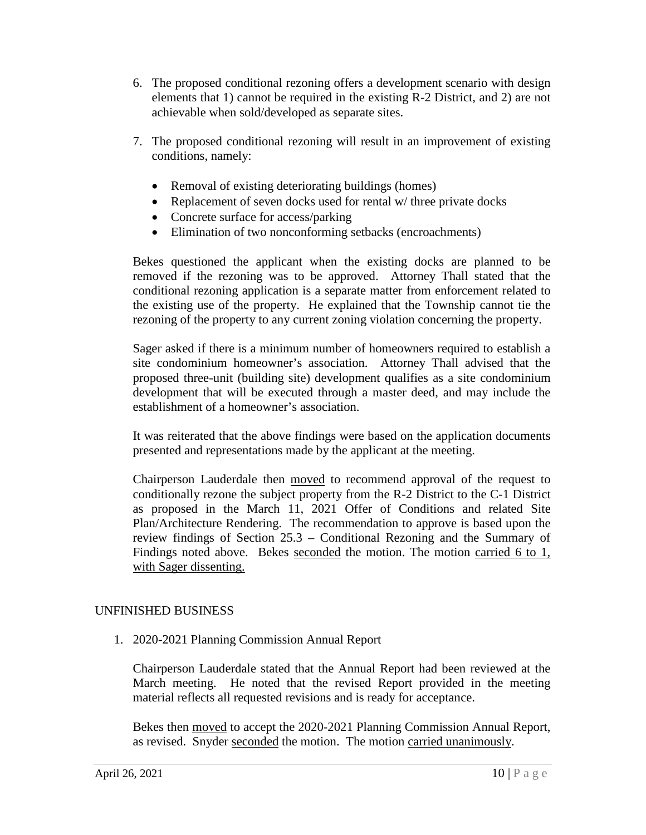- 6. The proposed conditional rezoning offers a development scenario with design elements that 1) cannot be required in the existing R-2 District, and 2) are not achievable when sold/developed as separate sites.
- 7. The proposed conditional rezoning will result in an improvement of existing conditions, namely:
	- Removal of existing deteriorating buildings (homes)
	- Replacement of seven docks used for rental w/ three private docks
	- Concrete surface for access/parking
	- Elimination of two nonconforming setbacks (encroachments)

Bekes questioned the applicant when the existing docks are planned to be removed if the rezoning was to be approved. Attorney Thall stated that the conditional rezoning application is a separate matter from enforcement related to the existing use of the property. He explained that the Township cannot tie the rezoning of the property to any current zoning violation concerning the property.

Sager asked if there is a minimum number of homeowners required to establish a site condominium homeowner's association. Attorney Thall advised that the proposed three-unit (building site) development qualifies as a site condominium development that will be executed through a master deed, and may include the establishment of a homeowner's association.

It was reiterated that the above findings were based on the application documents presented and representations made by the applicant at the meeting.

Chairperson Lauderdale then moved to recommend approval of the request to conditionally rezone the subject property from the R-2 District to the C-1 District as proposed in the March 11, 2021 Offer of Conditions and related Site Plan/Architecture Rendering. The recommendation to approve is based upon the review findings of Section 25.3 – Conditional Rezoning and the Summary of Findings noted above. Bekes seconded the motion. The motion carried 6 to 1, with Sager dissenting.

## UNFINISHED BUSINESS

1. 2020-2021 Planning Commission Annual Report

Chairperson Lauderdale stated that the Annual Report had been reviewed at the March meeting. He noted that the revised Report provided in the meeting material reflects all requested revisions and is ready for acceptance.

Bekes then moved to accept the 2020-2021 Planning Commission Annual Report, as revised. Snyder seconded the motion. The motion carried unanimously.